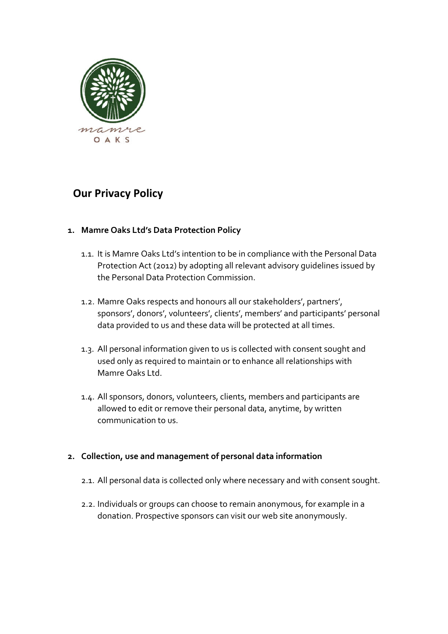

# **Our Privacy Policy**

## **1. Mamre Oaks Ltd's Data Protection Policy**

- 1.1. It is Mamre Oaks Ltd's intention to be in compliance with the Personal Data Protection Act (2012) by adopting all relevant advisory guidelines issued by the Personal Data Protection Commission.
- 1.2. Mamre Oaks respects and honours all our stakeholders', partners', sponsors', donors', volunteers', clients', members' and participants' personal data provided to us and these data will be protected at all times.
- 1.3. All personal information given to us is collected with consent sought and used only as required to maintain or to enhance all relationships with Mamre Oaks Ltd.
- 1.4. All sponsors, donors, volunteers, clients, members and participants are allowed to edit or remove their personal data, anytime, by written communication to us.

### **2. Collection, use and management of personal data information**

- 2.1. All personal data is collected only where necessary and with consent sought.
- 2.2. Individuals or groups can choose to remain anonymous, for example in a donation. Prospective sponsors can visit our web site anonymously.